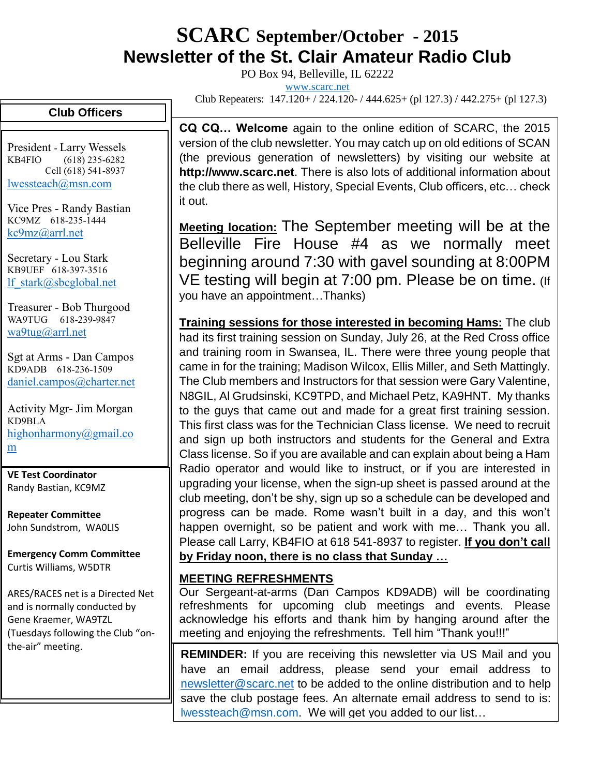# **SCARC September/October - <sup>2015</sup> Newsletter of the St. Clair Amateur Radio Club**

PO Box 94, Belleville, IL 62222

[www.scarc.net](http://www.scarc.net/)

Club Repeaters: 147.120+ / 224.120- / 444.625+ (pl 127.3) / 442.275+ (pl 127.3)

### **Club Officers**

President - Larry Wessels KB4FIO (618) 235-6282 Cell (618) 541-8937 [lwessteach@msn.com](mailto:lwessteach@msn.com)

Vice Pres - Randy Bastian KC9MZ 618-235-1444 [kc9mz@arrl.net](mailto:kc9mz@arrl.net)

Secretary - Lou Stark KB9UEF 618-397-3516 [lf\\_stark@sbcglobal.net](mailto:lf_stark@sbcglobal.net)

Treasurer - Bob Thurgood WA9TUG 618-239-9847 [wa9tug@arrl.net](mailto:wa9tug@arrl.net)

Sgt at Arms - Dan Campos KD9ADB 618-236-1509 [daniel.campos@charter.net](mailto:daniel.campos@charter.net)

Activity Mgr- Jim Morgan KD9BLA [highonharmony@gmail.co](mailto:highonharmony@gmail.com) [m](mailto:highonharmony@gmail.com)

**VE Test Coordinator** Randy Bastian, KC9MZ

**Repeater Committee** John Sundstrom, WA0LIS

**Emergency Comm Committee** Curtis Williams, W5DTR

ARES/RACES net is a Directed Net and is normally conducted by Gene Kraemer, WA9TZL (Tuesdays following the Club "onthe-air" meeting.

**CQ CQ… Welcome** again to the online edition of SCARC, the 2015 version of the club newsletter. You may catch up on old editions of SCAN (the previous generation of newsletters) by visiting our website at **http://www.scarc.net**. There is also lots of additional information about the club there as well, History, Special Events, Club officers, etc… check it out.

**Meeting location:** The September meeting will be at the Belleville Fire House #4 as we normally meet beginning around 7:30 with gavel sounding at 8:00PM VE testing will begin at 7:00 pm. Please be on time. (If you have an appointment…Thanks)

**Training sessions for those interested in becoming Hams:** The club had its first training session on Sunday, July 26, at the Red Cross office and training room in Swansea, IL. There were three young people that came in for the training; Madison Wilcox, Ellis Miller, and Seth Mattingly. The Club members and Instructors for that session were Gary Valentine, N8GIL, Al Grudsinski, KC9TPD, and Michael Petz, KA9HNT. My thanks to the guys that came out and made for a great first training session. This first class was for the Technician Class license. We need to recruit and sign up both instructors and students for the General and Extra Class license. So if you are available and can explain about being a Ham Radio operator and would like to instruct, or if you are interested in upgrading your license, when the sign-up sheet is passed around at the club meeting, don't be shy, sign up so a schedule can be developed and progress can be made. Rome wasn't built in a day, and this won't happen overnight, so be patient and work with me… Thank you all. Please call Larry, KB4FIO at 618 541-8937 to register. **If you don't call by Friday noon, there is no class that Sunday …**

#### **MEETING REFRESHMENTS**

Our Sergeant-at-arms (Dan Campos KD9ADB) will be coordinating refreshments for upcoming club meetings and events. Please acknowledge his efforts and thank him by hanging around after the meeting and enjoying the refreshments. Tell him "Thank you!!!"

**REMINDER:** If you are receiving this newsletter via US Mail and you have an email address, please send your email address to [newsletter@scarc.net](mailto:newsletter@scarc.net) to be added to the online distribution and to help save the club postage fees. An alternate email address to send to is: [lwessteach@msn.com.](mailto:lwessteach@msn.com) We will get you added to our list…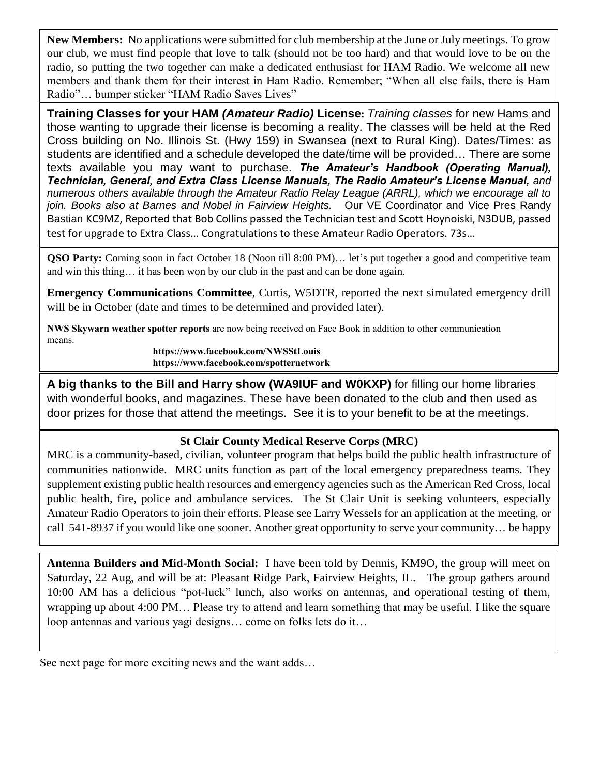**New Members:** No applications were submitted for club membership at the June or July meetings. To grow our club, we must find people that love to talk (should not be too hard) and that would love to be on the radio, so putting the two together can make a dedicated enthusiast for HAM Radio. We welcome all new members and thank them for their interest in Ham Radio. Remember; "When all else fails, there is Ham Radio"… bumper sticker "HAM Radio Saves Lives"

**Training Classes for your HAM** *(Amateur Radio)* **License:** *Training classes* for new Hams and those wanting to upgrade their license is becoming a reality. The classes will be held at the Red Cross building on No. Illinois St. (Hwy 159) in Swansea (next to Rural King). Dates/Times: as students are identified and a schedule developed the date/time will be provided… There are some texts available you may want to purchase. *The Amateur's Handbook (Operating Manual), Technician, General, and Extra Class License Manuals, The Radio Amateur's License Manual, and numerous others available through the Amateur Radio Relay League (ARRL), which we encourage all to join. Books also at Barnes and Nobel in Fairview Heights.* Our VE Coordinator and Vice Pres Randy Bastian KC9MZ, Reported that Bob Collins passed the Technician test and Scott Hoynoiski, N3DUB, passed test for upgrade to Extra Class… Congratulations to these Amateur Radio Operators. 73s…

**QSO Party:** Coming soon in fact October 18 (Noon till 8:00 PM)… let's put together a good and competitive team and win this thing… it has been won by our club in the past and can be done again.

**Emergency Communications Committee**, Curtis, W5DTR, reported the next simulated emergency drill will be in October (date and times to be determined and provided later).

**NWS Skywarn weather spotter reports** are now being received on Face Book in addition to other communication means.

**https://www.facebook.com/NWSStLouis https://www.facebook.com/spotternetwork**

**A big thanks to the Bill and Harry show (WA9IUF and W0KXP)** for filling our home libraries with wonderful books, and magazines. These have been donated to the club and then used as door prizes for those that attend the meetings. See it is to your benefit to be at the meetings.

#### **St Clair County Medical Reserve Corps (MRC)**

MRC is a community-based, civilian, volunteer program that helps build the public health infrastructure of communities nationwide. MRC units function as part of the local emergency preparedness teams. They supplement existing public health resources and emergency agencies such as the American Red Cross, local public health, fire, police and ambulance services. The St Clair Unit is seeking volunteers, especially Amateur Radio Operators to join their efforts. Please see Larry Wessels for an application at the meeting, or call 541-8937 if you would like one sooner. Another great opportunity to serve your community… be happy

**Antenna Builders and Mid-Month Social:** I have been told by Dennis, KM9O, the group will meet on Saturday, 22 Aug, and will be at: Pleasant Ridge Park, Fairview Heights, IL. The group gathers around 10:00 AM has a delicious "pot-luck" lunch, also works on antennas, and operational testing of them, wrapping up about 4:00 PM… Please try to attend and learn something that may be useful. I like the square loop antennas and various yagi designs… come on folks lets do it…

See next page for more exciting news and the want adds…